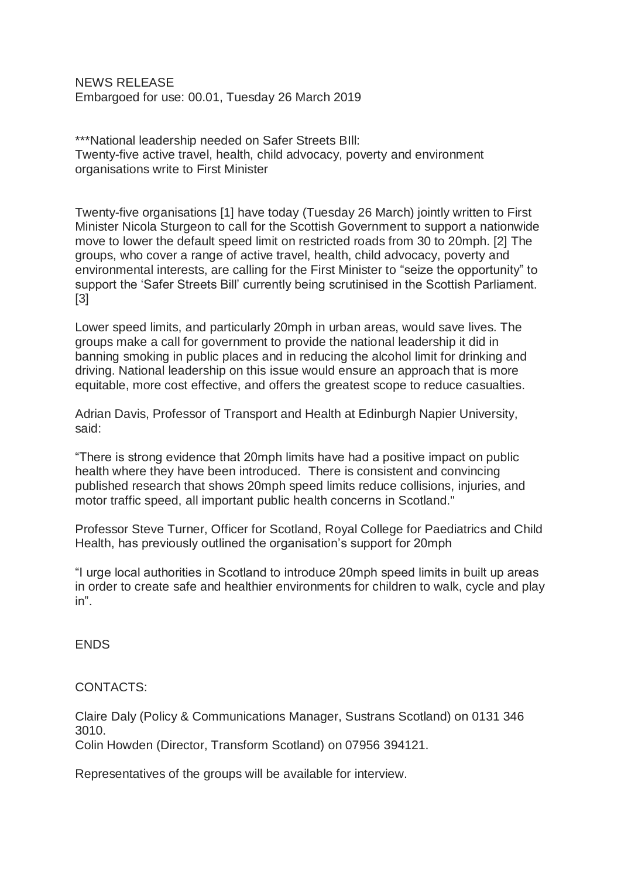NEWS RELEASE Embargoed for use: 00.01, Tuesday 26 March 2019

\*\*\*National leadership needed on Safer Streets BIll: Twenty-five active travel, health, child advocacy, poverty and environment organisations write to First Minister

Twenty-five organisations [1] have today (Tuesday 26 March) jointly written to First Minister Nicola Sturgeon to call for the Scottish Government to support a nationwide move to lower the default speed limit on restricted roads from 30 to 20mph. [2] The groups, who cover a range of active travel, health, child advocacy, poverty and environmental interests, are calling for the First Minister to "seize the opportunity" to support the 'Safer Streets Bill' currently being scrutinised in the Scottish Parliament. [3]

Lower speed limits, and particularly 20mph in urban areas, would save lives. The groups make a call for government to provide the national leadership it did in banning smoking in public places and in reducing the alcohol limit for drinking and driving. National leadership on this issue would ensure an approach that is more equitable, more cost effective, and offers the greatest scope to reduce casualties.

Adrian Davis, Professor of Transport and Health at Edinburgh Napier University, said:

"There is strong evidence that 20mph limits have had a positive impact on public health where they have been introduced. There is consistent and convincing published research that shows 20mph speed limits reduce collisions, injuries, and motor traffic speed, all important public health concerns in Scotland."

Professor Steve Turner, Officer for Scotland, Royal College for Paediatrics and Child Health, has previously outlined the organisation's support for 20mph

"I urge local authorities in Scotland to introduce 20mph speed limits in built up areas in order to create safe and healthier environments for children to walk, cycle and play in".

ENDS

CONTACTS:

Claire Daly (Policy & Communications Manager, Sustrans Scotland) on 0131 346 3010. Colin Howden (Director, Transform Scotland) on 07956 394121.

Representatives of the groups will be available for interview.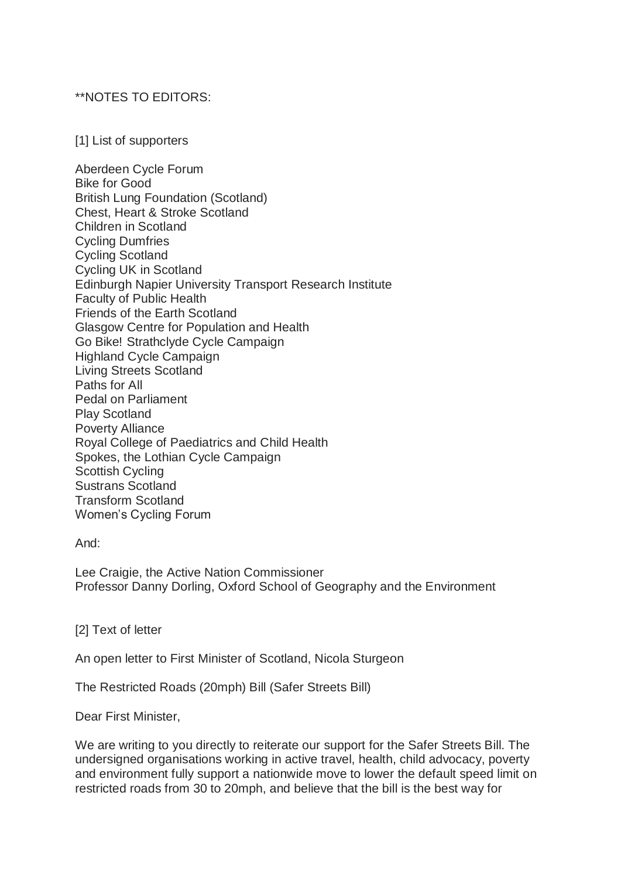## \*\*NOTES TO EDITORS:

[1] List of supporters

Aberdeen Cycle Forum Bike for Good British Lung Foundation (Scotland) Chest, Heart & Stroke Scotland Children in Scotland Cycling Dumfries Cycling Scotland Cycling UK in Scotland Edinburgh Napier University Transport Research Institute Faculty of Public Health Friends of the Earth Scotland Glasgow Centre for Population and Health Go Bike! Strathclyde Cycle Campaign Highland Cycle Campaign Living Streets Scotland Paths for All Pedal on Parliament Play Scotland Poverty Alliance Royal College of Paediatrics and Child Health Spokes, the Lothian Cycle Campaign Scottish Cycling Sustrans Scotland Transform Scotland Women's Cycling Forum

And:

Lee Craigie, the Active Nation Commissioner Professor Danny Dorling, Oxford School of Geography and the Environment

[2] Text of letter

An open letter to First Minister of Scotland, Nicola Sturgeon

The Restricted Roads (20mph) Bill (Safer Streets Bill)

Dear First Minister,

We are writing to you directly to reiterate our support for the Safer Streets Bill. The undersigned organisations working in active travel, health, child advocacy, poverty and environment fully support a nationwide move to lower the default speed limit on restricted roads from 30 to 20mph, and believe that the bill is the best way for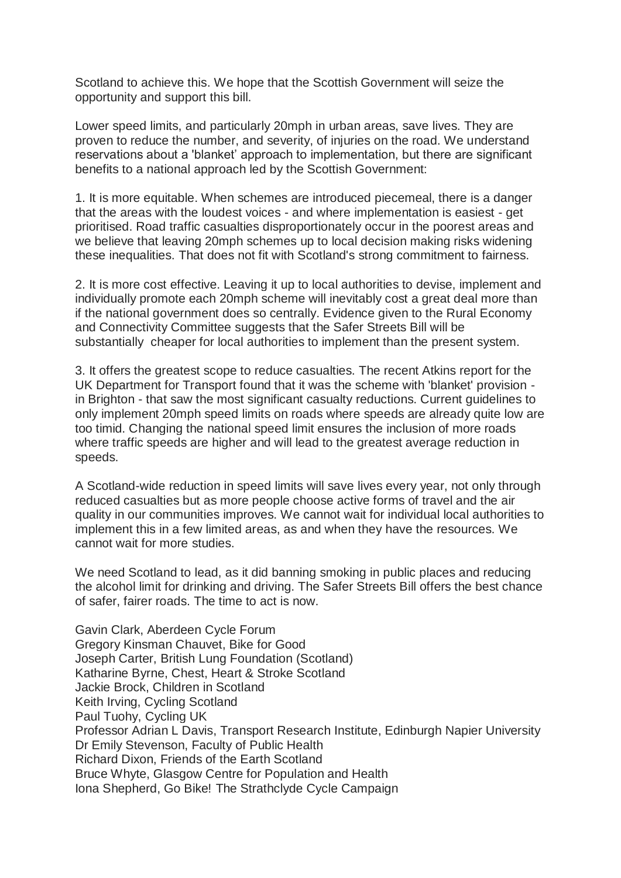Scotland to achieve this. We hope that the Scottish Government will seize the opportunity and support this bill.

Lower speed limits, and particularly 20mph in urban areas, save lives. They are proven to reduce the number, and severity, of injuries on the road. We understand reservations about a 'blanket' approach to implementation, but there are significant benefits to a national approach led by the Scottish Government:

1. It is more equitable. When schemes are introduced piecemeal, there is a danger that the areas with the loudest voices - and where implementation is easiest - get prioritised. Road traffic casualties disproportionately occur in the poorest areas and we believe that leaving 20mph schemes up to local decision making risks widening these inequalities. That does not fit with Scotland's strong commitment to fairness.

2. It is more cost effective. Leaving it up to local authorities to devise, implement and individually promote each 20mph scheme will inevitably cost a great deal more than if the national government does so centrally. Evidence given to the Rural Economy and Connectivity Committee suggests that the Safer Streets Bill will be substantially cheaper for local authorities to implement than the present system.

3. It offers the greatest scope to reduce casualties. The recent Atkins report for the UK Department for Transport found that it was the scheme with 'blanket' provision in Brighton - that saw the most significant casualty reductions. Current guidelines to only implement 20mph speed limits on roads where speeds are already quite low are too timid. Changing the national speed limit ensures the inclusion of more roads where traffic speeds are higher and will lead to the greatest average reduction in speeds.

A Scotland-wide reduction in speed limits will save lives every year, not only through reduced casualties but as more people choose active forms of travel and the air quality in our communities improves. We cannot wait for individual local authorities to implement this in a few limited areas, as and when they have the resources. We cannot wait for more studies.

We need Scotland to lead, as it did banning smoking in public places and reducing the alcohol limit for drinking and driving. The Safer Streets Bill offers the best chance of safer, fairer roads. The time to act is now.

Gavin Clark, Aberdeen Cycle Forum Gregory Kinsman Chauvet, Bike for Good Joseph Carter, British Lung Foundation (Scotland) Katharine Byrne, Chest, Heart & Stroke Scotland Jackie Brock, Children in Scotland Keith Irving, Cycling Scotland Paul Tuohy, Cycling UK Professor Adrian L Davis, Transport Research Institute, Edinburgh Napier University Dr Emily Stevenson, Faculty of Public Health Richard Dixon, Friends of the Earth Scotland Bruce Whyte, Glasgow Centre for Population and Health Iona Shepherd, Go Bike! The Strathclyde Cycle Campaign